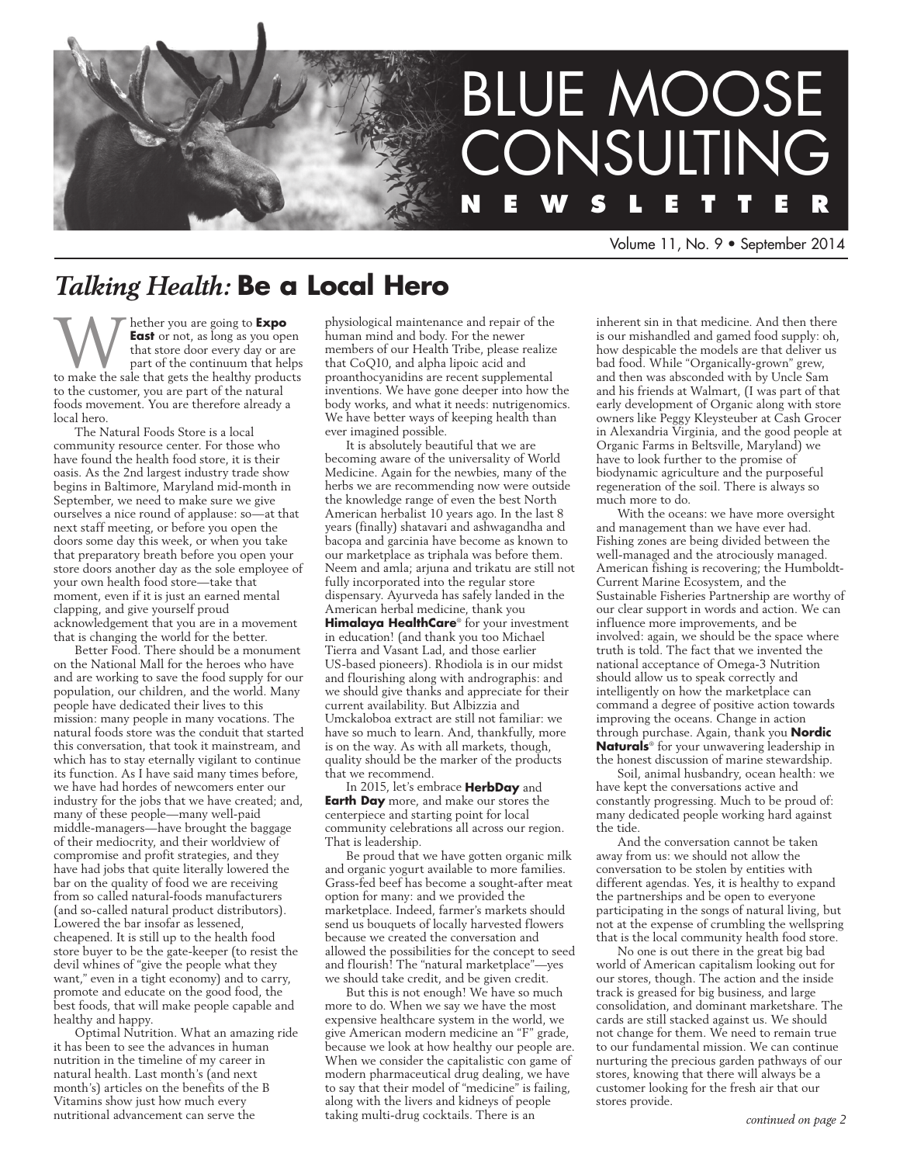

Volume 11, No. 9 • September 2014

# *Talking Health:* **Be a Local Hero**

Whether you are going to **Expo**  to make the sale that gets the healthy products **East** or not, as long as you open that store door every day or are part of the continuum that helps to the customer, you are part of the natural foods movement. You are therefore already a local hero.

The Natural Foods Store is a local community resource center. For those who have found the health food store, it is their oasis. As the 2nd largest industry trade show begins in Baltimore, Maryland mid-month in September, we need to make sure we give ourselves a nice round of applause: so—at that next staff meeting, or before you open the doors some day this week, or when you take that preparatory breath before you open your store doors another day as the sole employee of your own health food store—take that moment, even if it is just an earned mental clapping, and give yourself proud acknowledgement that you are in a movement that is changing the world for the better.

Better Food. There should be a monument on the National Mall for the heroes who have and are working to save the food supply for our population, our children, and the world. Many people have dedicated their lives to this mission: many people in many vocations. The natural foods store was the conduit that started this conversation, that took it mainstream, and which has to stay eternally vigilant to continue its function. As I have said many times before, we have had hordes of newcomers enter our industry for the jobs that we have created; and, many of these people—many well-paid middle-managers—have brought the baggage of their mediocrity, and their worldview of compromise and profit strategies, and they have had jobs that quite literally lowered the bar on the quality of food we are receiving from so called natural-foods manufacturers (and so-called natural product distributors). Lowered the bar insofar as lessened, cheapened. It is still up to the health food store buyer to be the gate-keeper (to resist the devil whines of "give the people what they want," even in a tight economy) and to carry, promote and educate on the good food, the best foods, that will make people capable and healthy and happy.

Optimal Nutrition. What an amazing ride it has been to see the advances in human nutrition in the timeline of my career in natural health. Last month's (and next month's) articles on the benefits of the B Vitamins show just how much every nutritional advancement can serve the

physiological maintenance and repair of the human mind and body. For the newer members of our Health Tribe, please realize that CoQ10, and alpha lipoic acid and proanthocyanidins are recent supplemental inventions. We have gone deeper into how the body works, and what it needs: nutrigenomics. We have better ways of keeping health than ever imagined possible.

It is absolutely beautiful that we are becoming aware of the universality of World Medicine. Again for the newbies, many of the herbs we are recommending now were outside the knowledge range of even the best North American herbalist 10 years ago. In the last 8 years (finally) shatavari and ashwagandha and bacopa and garcinia have become as known to our marketplace as triphala was before them. Neem and amla; arjuna and trikatu are still not fully incorporated into the regular store dispensary. Ayurveda has safely landed in the American herbal medicine, thank you

**Himalaya HealthCare**® for your investment in education! (and thank you too Michael Tierra and Vasant Lad, and those earlier US-based pioneers). Rhodiola is in our midst and flourishing along with andrographis: and we should give thanks and appreciate for their current availability. But Albizzia and Umckaloboa extract are still not familiar: we have so much to learn. And, thankfully, more is on the way. As with all markets, though, quality should be the marker of the products that we recommend.

In 2015, let's embrace **HerbDay** and **Earth Day** more, and make our stores the centerpiece and starting point for local community celebrations all across our region. That is leadership.

Be proud that we have gotten organic milk and organic yogurt available to more families. Grass-fed beef has become a sought-after meat option for many: and we provided the marketplace. Indeed, farmer's markets should send us bouquets of locally harvested flowers because we created the conversation and allowed the possibilities for the concept to seed and flourish! The "natural marketplace"-yes we should take credit, and be given credit.

But this is not enough! We have so much more to do. When we say we have the most expensive healthcare system in the world, we give American modern medicine an "F" grade, because we look at how healthy our people are. When we consider the capitalistic con game of modern pharmaceutical drug dealing, we have to say that their model of "medicine" is failing, along with the livers and kidneys of people taking multi-drug cocktails. There is an

inherent sin in that medicine. And then there is our mishandled and gamed food supply: oh, how despicable the models are that deliver us bad food. While "Organically-grown" grew, and then was absconded with by Uncle Sam and his friends at Walmart, (I was part of that early development of Organic along with store owners like Peggy Kleysteuber at Cash Grocer in Alexandria Virginia, and the good people at Organic Farms in Beltsville, Maryland) we have to look further to the promise of biodynamic agriculture and the purposeful regeneration of the soil. There is always so much more to do.

With the oceans: we have more oversight and management than we have ever had. Fishing zones are being divided between the well-managed and the atrociously managed. American fishing is recovering; the Humboldt-Current Marine Ecosystem, and the Sustainable Fisheries Partnership are worthy of our clear support in words and action. We can influence more improvements, and be involved: again, we should be the space where truth is told. The fact that we invented the national acceptance of Omega-3 Nutrition should allow us to speak correctly and intelligently on how the marketplace can command a degree of positive action towards improving the oceans. Change in action through purchase. Again, thank you **Nordic Naturals**® for your unwavering leadership in the honest discussion of marine stewardship.

Soil, animal husbandry, ocean health: we have kept the conversations active and constantly progressing. Much to be proud of: many dedicated people working hard against the tide.

And the conversation cannot be taken away from us: we should not allow the conversation to be stolen by entities with different agendas. Yes, it is healthy to expand the partnerships and be open to everyone participating in the songs of natural living, but not at the expense of crumbling the wellspring that is the local community health food store.

No one is out there in the great big bad world of American capitalism looking out for our stores, though. The action and the inside track is greased for big business, and large consolidation, and dominant marketshare. The cards are still stacked against us. We should not change for them. We need to remain true to our fundamental mission. We can continue nurturing the precious garden pathways of our stores, knowing that there will always be a customer looking for the fresh air that our stores provide.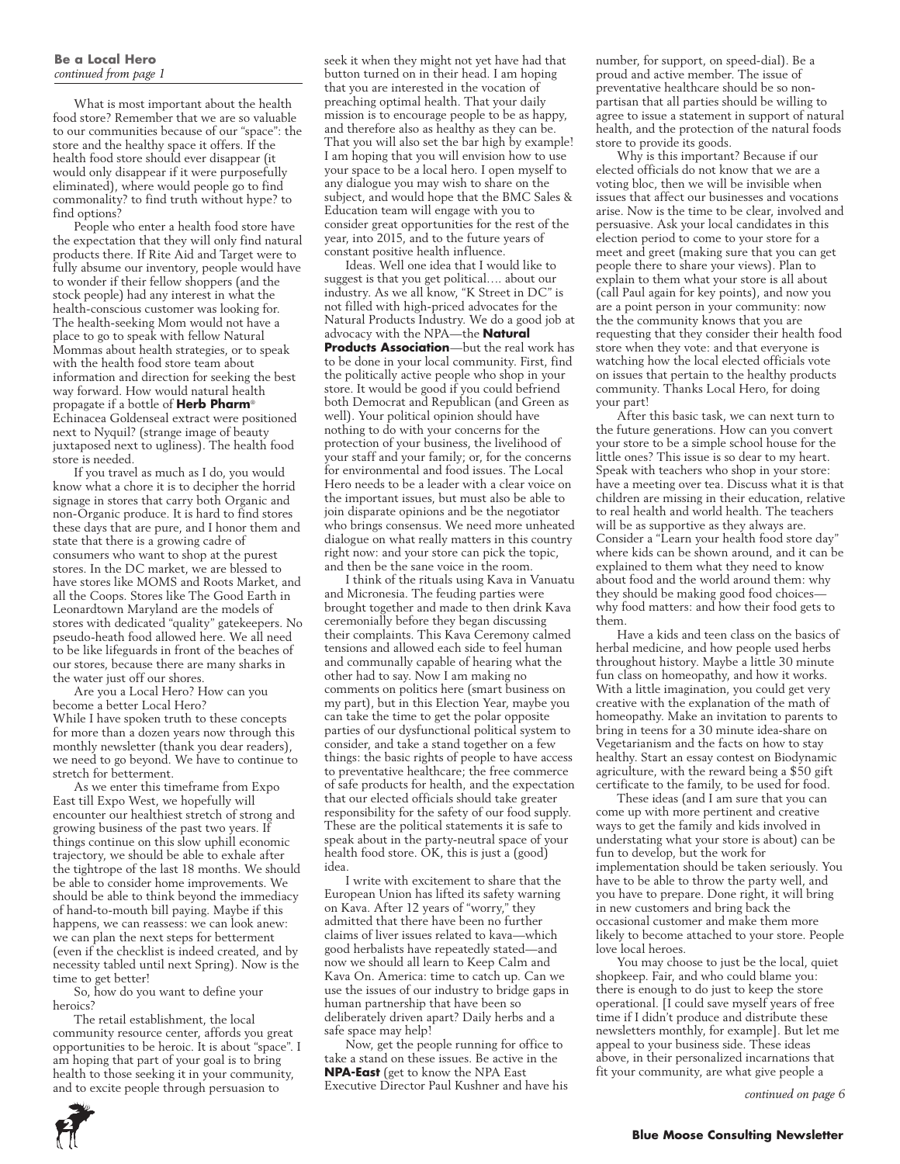#### **Be a Local Hero** *continued from page 1*

What is most important about the health food store? Remember that we are so valuable to our communities because of our "space": the store and the healthy space it offers. If the health food store should ever disappear (it would only disappear if it were purposefully eliminated), where would people go to find commonality? to find truth without hype? to find options?

People who enter a health food store have the expectation that they will only find natural products there. If Rite Aid and Target were to fully absume our inventory, people would have to wonder if their fellow shoppers (and the stock people) had any interest in what the health-conscious customer was looking for. The health-seeking Mom would not have a place to go to speak with fellow Natural Mommas about health strategies, or to speak with the health food store team about information and direction for seeking the best way forward. How would natural health propagate if a bottle of **Herb Pharm**® Echinacea Goldenseal extract were positioned next to Nyquil? (strange image of beauty juxtaposed next to ugliness). The health food store is needed.

If you travel as much as I do, you would know what a chore it is to decipher the horrid signage in stores that carry both Organic and non-Organic produce. It is hard to find stores these days that are pure, and I honor them and state that there is a growing cadre of consumers who want to shop at the purest stores. In the DC market, we are blessed to have stores like MOMS and Roots Market, and all the Coops. Stores like The Good Earth in Leonardtown Maryland are the models of stores with dedicated "quality" gatekeepers. No pseudo-heath food allowed here. We all need to be like lifeguards in front of the beaches of our stores, because there are many sharks in the water just off our shores.

Are you a Local Hero? How can you become a better Local Hero? While I have spoken truth to these concepts for more than a dozen years now through this monthly newsletter (thank you dear readers), we need to go beyond. We have to continue to stretch for betterment.

As we enter this timeframe from Expo East till Expo West, we hopefully will encounter our healthiest stretch of strong and growing business of the past two years. If things continue on this slow uphill economic trajectory, we should be able to exhale after the tightrope of the last 18 months. We should be able to consider home improvements. We should be able to think beyond the immediacy of hand-to-mouth bill paying. Maybe if this happens, we can reassess: we can look anew: we can plan the next steps for betterment (even if the checklist is indeed created, and by necessity tabled until next Spring). Now is the time to get better!

So, how do you want to define your heroics?

The retail establishment, the local community resource center, affords you great opportunities to be heroic. It is about "space". I am hoping that part of your goal is to bring health to those seeking it in your community, and to excite people through persuasion to

seek it when they might not yet have had that button turned on in their head. I am hoping that you are interested in the vocation of preaching optimal health. That your daily mission is to encourage people to be as happy, and therefore also as healthy as they can be. That you will also set the bar high by example! I am hoping that you will envision how to use your space to be a local hero. I open myself to any dialogue you may wish to share on the subject, and would hope that the BMC Sales & Education team will engage with you to consider great opportunities for the rest of the year, into 2015, and to the future years of constant positive health influence.

Ideas. Well one idea that I would like to suggest is that you get political…. about our industry. As we all know, "K Street in DC" is not filled with high-priced advocates for the Natural Products Industry. We do a good job at advocacy with the NPA—the **Natural Products Association**—but the real work has to be done in your local community. First, find the politically active people who shop in your store. It would be good if you could befriend both Democrat and Republican (and Green as well). Your political opinion should have nothing to do with your concerns for the protection of your business, the livelihood of your staff and your family; or, for the concerns for environmental and food issues. The Local Hero needs to be a leader with a clear voice on the important issues, but must also be able to join disparate opinions and be the negotiator who brings consensus. We need more unheated dialogue on what really matters in this country right now: and your store can pick the topic, and then be the sane voice in the room.

I think of the rituals using Kava in Vanuatu and Micronesia. The feuding parties were brought together and made to then drink Kava ceremonially before they began discussing their complaints. This Kava Ceremony calmed tensions and allowed each side to feel human and communally capable of hearing what the other had to say. Now I am making no comments on politics here (smart business on my part), but in this Election Year, maybe you can take the time to get the polar opposite parties of our dysfunctional political system to consider, and take a stand together on a few things: the basic rights of people to have access to preventative healthcare; the free commerce of safe products for health, and the expectation that our elected officials should take greater responsibility for the safety of our food supply. These are the political statements it is safe to speak about in the party-neutral space of your health food store. OK, this is just a (good) idea.

I write with excitement to share that the European Union has lifted its safety warning on Kava. After 12 years of "worry," they admitted that there have been no further claims of liver issues related to kava—which good herbalists have repeatedly stated—and now we should all learn to Keep Calm and Kava On. America: time to catch up. Can we use the issues of our industry to bridge gaps in human partnership that have been so deliberately driven apart? Daily herbs and a safe space may help!

Now, get the people running for office to take a stand on these issues. Be active in the **NPA-East** (get to know the NPA East Executive Director Paul Kushner and have his

number, for support, on speed-dial). Be a proud and active member. The issue of preventative healthcare should be so nonpartisan that all parties should be willing to agree to issue a statement in support of natural health, and the protection of the natural foods store to provide its goods.

Why is this important? Because if our elected officials do not know that we are a voting bloc, then we will be invisible when issues that affect our businesses and vocations arise. Now is the time to be clear, involved and persuasive. Ask your local candidates in this election period to come to your store for a meet and greet (making sure that you can get people there to share your views). Plan to explain to them what your store is all about (call Paul again for key points), and now you are a point person in your community: now the the community knows that you are requesting that they consider their health food store when they vote: and that everyone is watching how the local elected officials vote on issues that pertain to the healthy products community. Thanks Local Hero, for doing your part!

After this basic task, we can next turn to the future generations. How can you convert your store to be a simple school house for the little ones? This issue is so dear to my heart. Speak with teachers who shop in your store: have a meeting over tea. Discuss what it is that children are missing in their education, relative to real health and world health. The teachers will be as supportive as they always are. Consider a "Learn your health food store day" where kids can be shown around, and it can be explained to them what they need to know about food and the world around them: why they should be making good food choices why food matters: and how their food gets to them.

Have a kids and teen class on the basics of herbal medicine, and how people used herbs throughout history. Maybe a little 30 minute fun class on homeopathy, and how it works. With a little imagination, you could get very creative with the explanation of the math of homeopathy. Make an invitation to parents to bring in teens for a 30 minute idea-share on Vegetarianism and the facts on how to stay healthy. Start an essay contest on Biodynamic agriculture, with the reward being a \$50 gift certificate to the family, to be used for food.

These ideas (and I am sure that you can come up with more pertinent and creative ways to get the family and kids involved in understating what your store is about) can be fun to develop, but the work for implementation should be taken seriously. You have to be able to throw the party well, and you have to prepare. Done right, it will bring in new customers and bring back the occasional customer and make them more likely to become attached to your store. People love local heroes.

You may choose to just be the local, quiet shopkeep. Fair, and who could blame you: there is enough to do just to keep the store operational. [I could save myself years of free time if I didn't produce and distribute these newsletters monthly, for example]. But let me appeal to your business side. These ideas above, in their personalized incarnations that fit your community, are what give people a

*continued on page 6*

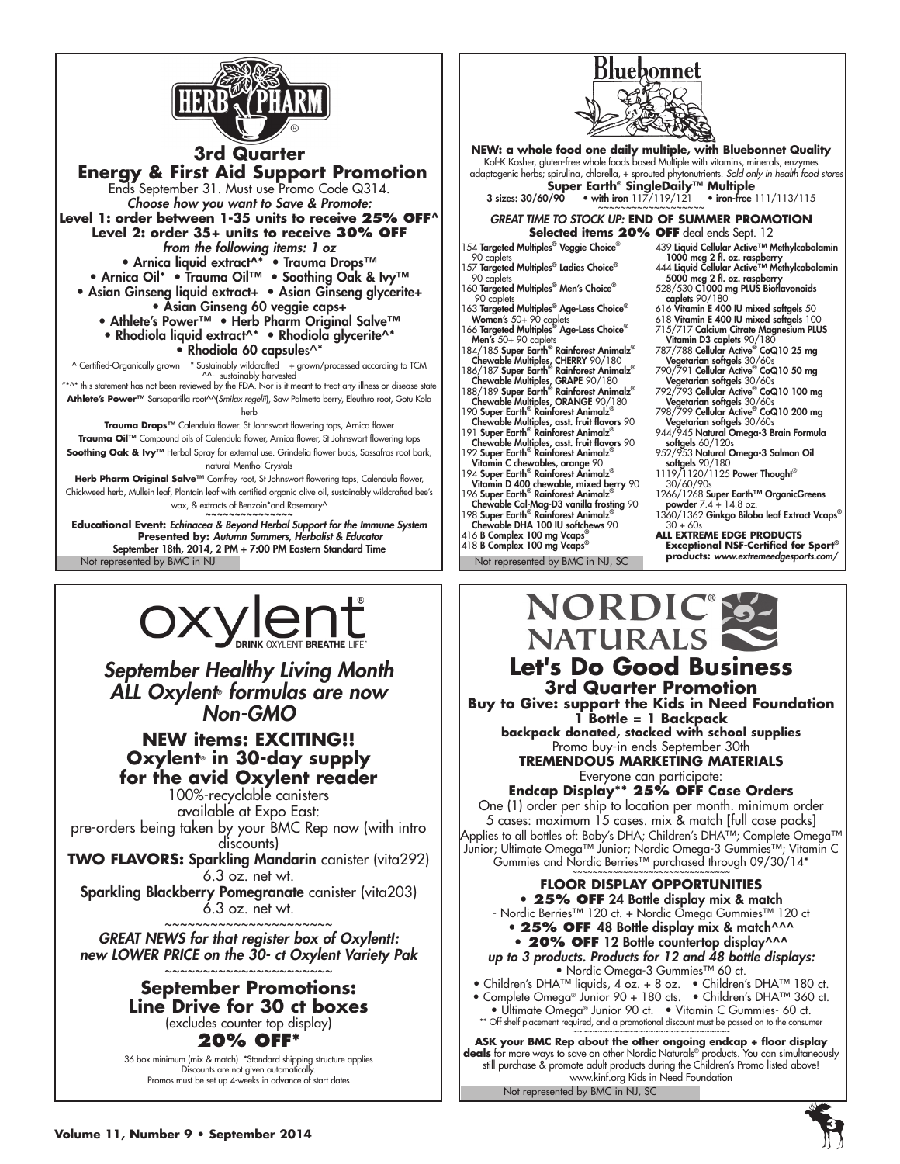



# **NEW items: EXCITING!! Oxylent® in 30-day supply for the avid Oxylent reader**

100%-recyclable canisters available at Expo East: pre-orders being taken by your BMC Rep now (with intro discounts)

**two FLAVORS:** Sparkling Mandarin canister (vita292) 6.3 oz. net wt.

Sparkling Blackberry Pomegranate canister (vita203) 6.3 oz. net wt. ~~~~~~~~~~~~~~~~~~~~

*GREAT NEWS for that register box of Oxylent!: new LOWER PRICE on the 30- ct Oxylent Variety Pak* ~~~~~~~~~~~~~~~~~~~~

> **September Promotions: Line Drive for 30 ct boxes**  (excludes counter top display) **20% OFF\***

36 box minimum (mix & match) \*Standard shipping structure applies Discounts are not given automatically. Promos must be set up 4-weeks in advance of start dates

**Let's Do Good Business 3rd Quarter Promotion Buy to Give: support the Kids in Need Foundation 1 Bottle = 1 Backpack backpack donated, stocked with school supplies** Promo buy-in ends September 30th **TREMENDOUS MARKETING MATERIALS** Everyone can participate: **Endcap Display\*\* 25% OFF Case Orders** One (1) order per ship to location per month. minimum order 5 cases: maximum 15 cases. mix & match [full case packs] Applies to all bottles of: Baby's DHA; Children's DHA™; Complete Omega™ Junior; Ultimate Omega™ Junior; Nordic Omega-3 Gummies™; Vitamin C Gummies and Nordic Berries™ purchased through 09/30/14\*

**FLOOR DISPLAY OPPORTUNITIES**  • **25% OFF** 24 Bottle display mix & match - Nordic Berries™ 120 ct. + Nordic Omega Gummies™ 120 ct • 25% OFF 48 Bottle display mix & match^^^ • 20% OFF 12 Bottle countertop display^^^ *up to 3 products. Products for 12 and 48 bottle displays:* • Nordic Omega-3 Gummies™ 60 ct. • Children's DHA™ liquids, 4 oz. + 8 oz. • Children's DHA™ 180 ct. • Complete Omega® Junior 90 + 180 cts. • Children's DHA™ 360 ct.

• Ultimate Omega® Junior 90 ct. • Vitamin C Gummies- 60 ct. \*\* Off shelf placement required, and a promotional discount must be passed on to the consumer

Not represented by BMC in NJ, SC ASK your BMC Rep about the other ongoing endcap + floor display<br>deals for more ways to save on other Nordic Naturals® products. You can simultaneously still purchase & promote adult products during the Children's Promo listed above! www.kinf.org Kids in Need Foundation

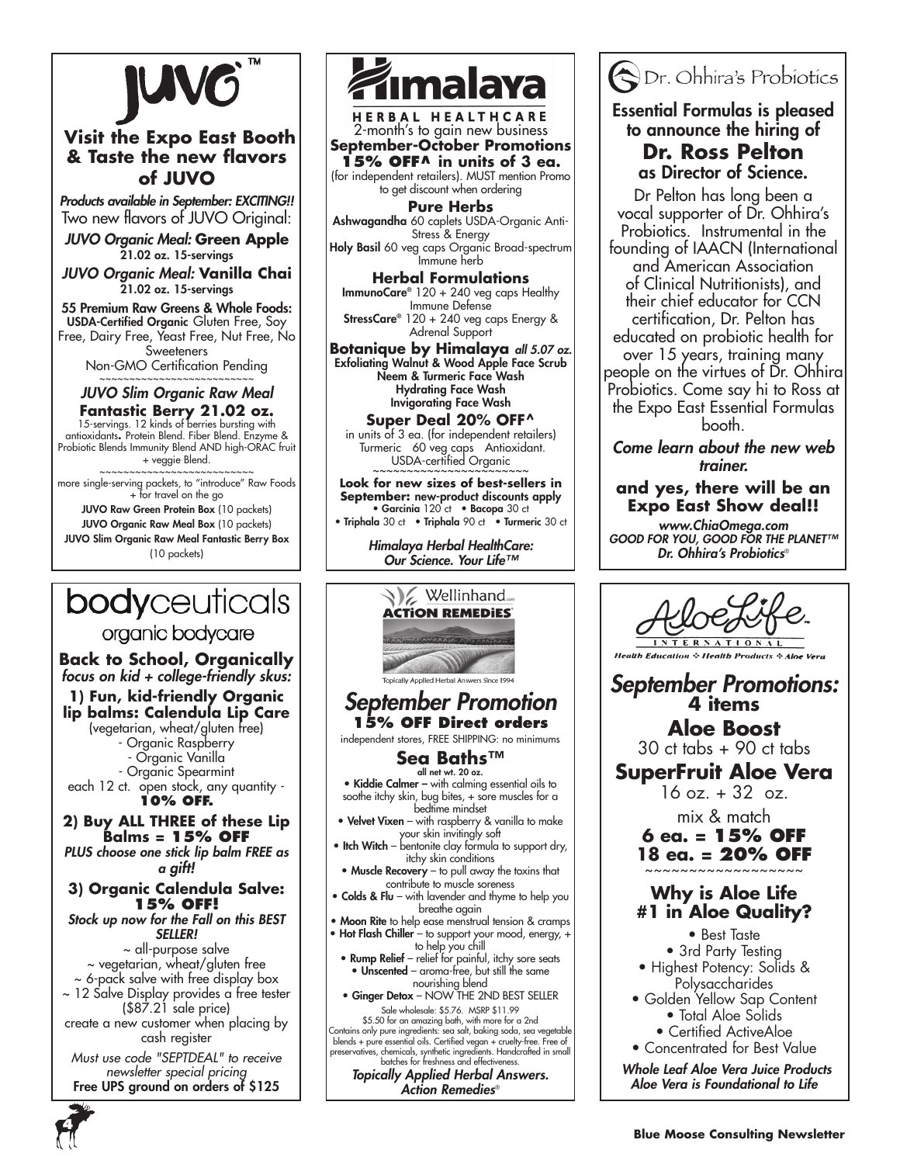

# **Visit the Expo East Booth & Taste the new flavors of JUVO**

*Products available in September: EXCITING!!* Two new flavors of JUVO Original:

*JUVO Organic Meal:* **Green Apple** 21.02 oz. 15-servings

*JUVO Organic Meal:* **Vanilla Chai** 21.02 oz. 15-servings

55 Premium Raw Greens & Whole Foods: USDA-Certified Organic Gluten Free, Soy Free, Dairy Free, Yeast Free, Nut Free, No **Sweeteners** 

Non-GMO Certification Pending

# ~~~~~~~~~~~~~~~~~~~~~~ *JUVO Slim Organic Raw Meal*

**Fantastic Berry 21.02 oz.** 15-servings. 12 kinds of berries bursting with antioxidants**.** Protein Blend. Fiber Blend. Enzyme & Probiotic Blends Immunity Blend AND high-ORAC fruit + veggie Blend.

~~~~~~~~~~~~~~~~~~~~~~ more single-serving packets, to "introduce" Raw Foods + for travel on the go

JUVO Raw Green Protein Box (10 packets) JUVO Organic Raw Meal Box (10 packets) JUVO Slim Organic Raw Meal Fantastic Berry Box (10 packets)

# Ashwagandha 60 caplets USDA-Organic Anti-

Stress & Energy Holy Basil 60 veg caps Organic Broad-spectrum Immune herb

HERBAL HEALTHCARE<br>2-month's to gain new business **September-October Promotions 15% OFF^ in units of 3 ea.**  (for independent retailers). MUST mention Promo to get discount when ordering **Pure Herbs**

**ımalaya** 

**Herbal Formulations** ImmunoCare® 120 + 240 veg caps Healthy Immune Defense StressCare® 120 + 240 veg caps Energy & Adrenal Support

**Botanique by Himalaya** *all 5.07 oz.*Exfoliating Walnut & Wood Apple Face Scrub Neem & Turmeric Face Wash Hydrating Face Wash Invigorating Face Wash

**Super Deal 20% OFF^** in units of 3 ea. (for independent retailers) Turmeric 60 veg caps Antioxidant. USDA-certified Organic

**Look for new sizes of best-sellers in September:** new-product discounts apply • Garcinia 120 ct • Bacopa 30 ct • Triphala 30 ct • Triphala 90 ct • Turmeric 30 ct

*Himalaya Herbal HealthCare: Our Science. Your Life™*



*Action Remedies*®



# Essential Formulas is pleased to announce the hiring of

# **Dr. Ross Pelton**  as Director of Science.

Dr Pelton has long been a vocal supporter of Dr. Ohhira's Probiotics. Instrumental in the founding of IAACN (International and American Association of Clinical Nutritionists), and their chief educator for CCN certification, Dr. Pelton has educated on probiotic health for over 15 years, training many people on the virtues of Dr. Ohhira Probiotics. Come say hi to Ross at the Expo East Essential Formulas booth.

*Come learn about the new web trainer.*

## **and yes, there will be an Expo East Show deal!!**

*www.ChiaOmega.com GOOD FOR YOU, GOOD FOR THE PLANET™ Dr. Ohhira's Probiotics*®



**Health Education & Health Products** 

*September Promotions:* **4 items**

**Aloe Boost**  30 ct tabs + 90 ct tabs

**SuperFruit Aloe Vera**

 $16$  oz.  $+32$  oz.

mix & match

**6 ea. = 15% OFF 18 ea. = 20% OFF** 

# **Why is Aloe Life #1 in Aloe Quality?**

- Best Taste • 3rd Party Testing • Highest Potency: Solids & Polysaccharides
- Golden Yellow Sap Content • Total Aloe Solids
	- Certified ActiveAloe
- Concentrated for Best Value

*Whole Leaf Aloe Vera Juice Products Aloe Vera is Foundational to Life*



**1) Fun, kid-friendly Organic**  (vegetarian, wheat/gluten free)

**Back to School, Organically** *focus on kid + college-friendly skus:*

organic bodycare

**body**ceuticals

each 12 ct. open stock, any quantity -

**2) Buy ALL THREE of these Lip Balms = 15% OFF** *PLUS choose one stick lip balm FREE as* 

*a gift!* 

## **3) Organic Calendula Salve: 15% OFF!**

*Stock up now for the Fall on this BEST SELLER!* ~ all-purpose salve ~ vegetarian, wheat/gluten free

~ 6-pack salve with free display box ~ 12 Salve Display provides a free tester (\$87.21 sale price)

create a new customer when placing by cash register

*Must use code "SEPTDEAL" to receive newsletter special pricing* Free UPS ground on orders of \$125

**lip balms: Calendula Lip Care** - Organic Raspberry - Organic Vanilla

- Organic Spearmint

**10% off.**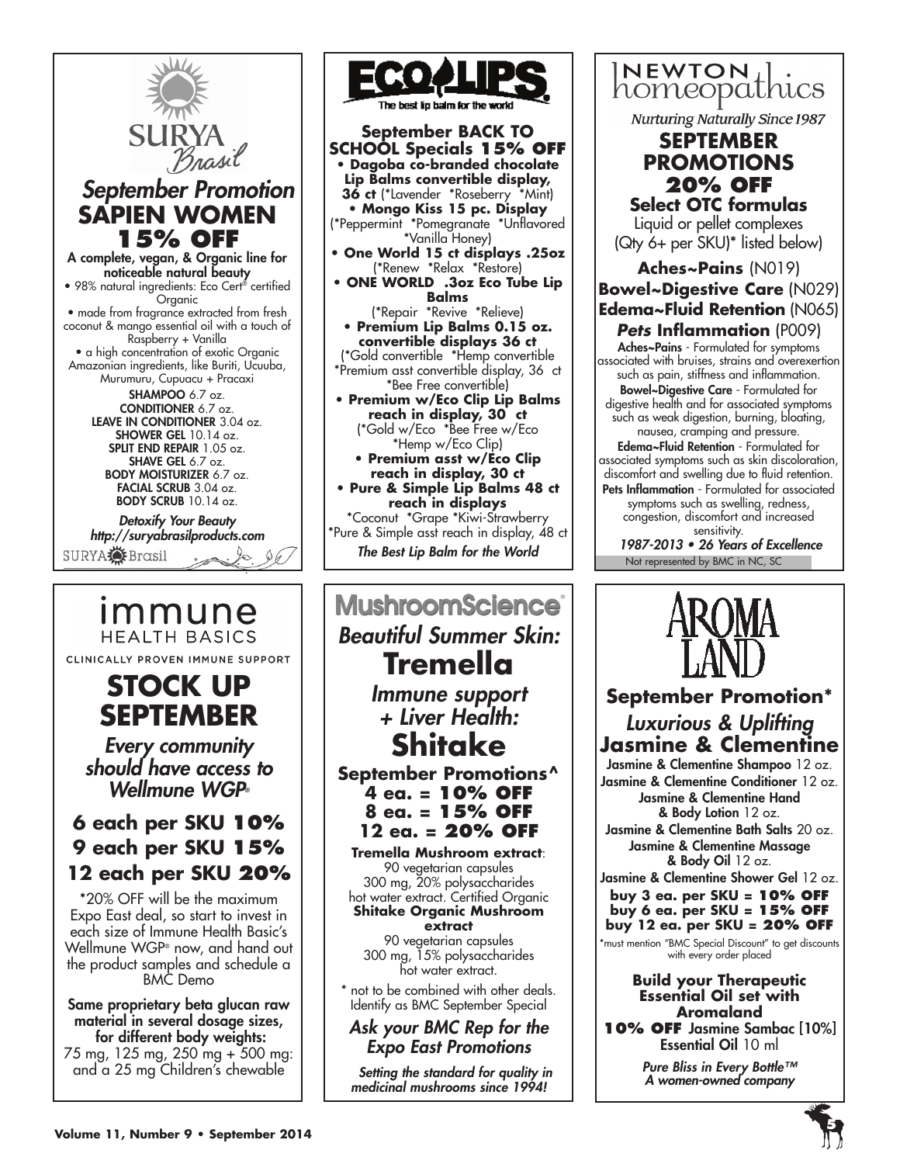

 *September Promotion* **SAPIEN WOMEN 15% OFF**

A complete, vegan, & Organic line for noticeable natural beauty • 98% natural ingredients: Eco Cert® certified Organic • made from fragrance extracted from fresh coconut & mango essential oil with a touch of Raspberry + Vanilla • a high concentration of exotic Organic Amazonian ingredients, like Buriti, Ucuuba,

Murumuru, Cupuacu + Pracaxi SHAMPOO 6.7 oz. CONDITIONER 6.7 oz. LEAVE IN CONDITIONER 3.04 oz. SHOWER GEL 10.14 oz. SPLIT END REPAIR 1.05 oz. SHAVE GEL 6.7 oz. BODY MOISTURIZER 6.7 oz. FACIAL SCRUB 3.04 oz. BODY SCRUB 10.14 oz.

*Detoxify Your Beauty http://suryabrasilproducts.com*

SURYA**O** Brasil

*Immune* **HEALTH BASICS** CLINICALLY PROVEN IMMUNE SUPPORT

# **STOCK UP SEPTEMBER**

*Every community should have access to Wellmune WGP®*

# **6 each per SKU 10% 9 each per SKU 15% 12 each per SKU 20%**

\*20% OFF will be the maximum Expo East deal, so start to invest in each size of Immune Health Basic's Wellmune WGP® now, and hand out the product samples and schedule a BMC Demo

Same proprietary beta glucan raw material in several dosage sizes, for different body weights: 75 mg, 125 mg, 250 mg + 500 mg:

and a 25 mg Children's chewable



**September BACK TO SCHOOL Specials 15% OFF • Dagoba co-branded chocolate Lip Balms convertible display, 36 ct** (\*Lavender \*Roseberry \*Mint) **• Mongo Kiss 15 pc. Display** (\*Peppermint \*Pomegranate \*Unflavored \*Vanilla Honey) **• One World 15 ct displays .25oz**  (\*Renew \*Relax \*Restore) **• ONE WORLD .3oz Eco Tube Lip Balms**  (\*Repair \*Revive \*Relieve) **• Premium Lip Balms 0.15 oz. convertible displays 36 ct**  (\*Gold convertible \*Hemp convertible \*Premium asst convertible display, 36 ct \*Bee Free convertible)

**• Premium w/Eco Clip Lip Balms reach in display, 30 ct** (\*Gold w/Eco \*Bee Free w/Eco \*Hemp w/Eco Clip)

**• Premium asst w/Eco Clip reach in display, 30 ct**

**• Pure & Simple Lip Balms 48 ct reach in displays** \*Coconut \*Grape \*Kiwi-Strawberry \*Pure & Simple asst reach in display, 48 ct

*The Best Lip Balm for the World*

# **MushroomScience**® *Beautiful Summer Skin:*  **Tremella** *Immune support + Liver Health:* **Shitake September Promotions^ 4 ea. = 10% OFF 8 ea. = 15% OFF 12 ea. = 20% OFF Tremella Mushroom extract**: 90 vegetarian capsules 300 mg, 20% polysaccharides hot water extract. Certified Organic **Shitake Organic Mushroom extract** 90 vegetarian capsules 300 mg, 15% polysaccharides hot water extract. not to be combined with other deals. Identify as BMC September Special *Ask your BMC Rep for the Expo East Promotions*

*Setting the standard for quality in medicinal mushrooms since 1994!*



**Nurturing Naturally Since 1987** 

# **september PROMOTIONS 20% OFF**

**Select OTC formulas**  Liquid or pellet complexes (Qty 6+ per SKU)\* listed below)

# **Aches~Pains** (N019) **Bowel~Digestive Care** (N029) **Edema~Fluid Retention** (N065) *Pets* **Inflammation** (P009)

Aches~Pains - Formulated for symptoms associated with bruises, strains and overexertion such as pain, stiffness and inflammation.

Bowel~Digestive Care - Formulated for digestive health and for associated symptoms such as weak digestion, burning, bloating, nausea, cramping and pressure.

Edema~Fluid Retention - Formulated for associated symptoms such as skin discoloration, discomfort and swelling due to fluid retention. Pets Inflammation - Formulated for associated symptoms such as swelling, redness, congestion, discomfort and increased sensitivity.

Not represented by BMC in NC, SC 1987-2013 • 26 Years of Excellence



# **September Promotion\*** *Luxurious & Uplifting*  **Jasmine & Clementine**

Jasmine & Clementine Shampoo 12 oz. Jasmine & Clementine Conditioner 12 oz. Jasmine & Clementine Hand & Body Lotion 12 oz.

Jasmine & Clementine Bath Salts 20 oz. Jasmine & Clementine Massage & Body Oil 12 oz.

Jasmine & Clementine Shower Gel 12 oz.

**buy 3 ea. per SKU = 10% OFF buy 6 ea. per SKU = 15% OFF buy 12 ea. per SKU = 20% OFF**

\*must mention "BMC Special Discount" to get discounts with every order placed

## **Build your Therapeutic Essential Oil set with Aromaland**

**10% OFF** Jasmine Sambac [10%] Essential Oil 10 ml

> *Pure Bliss in Every Bottle™ A women-owned company*

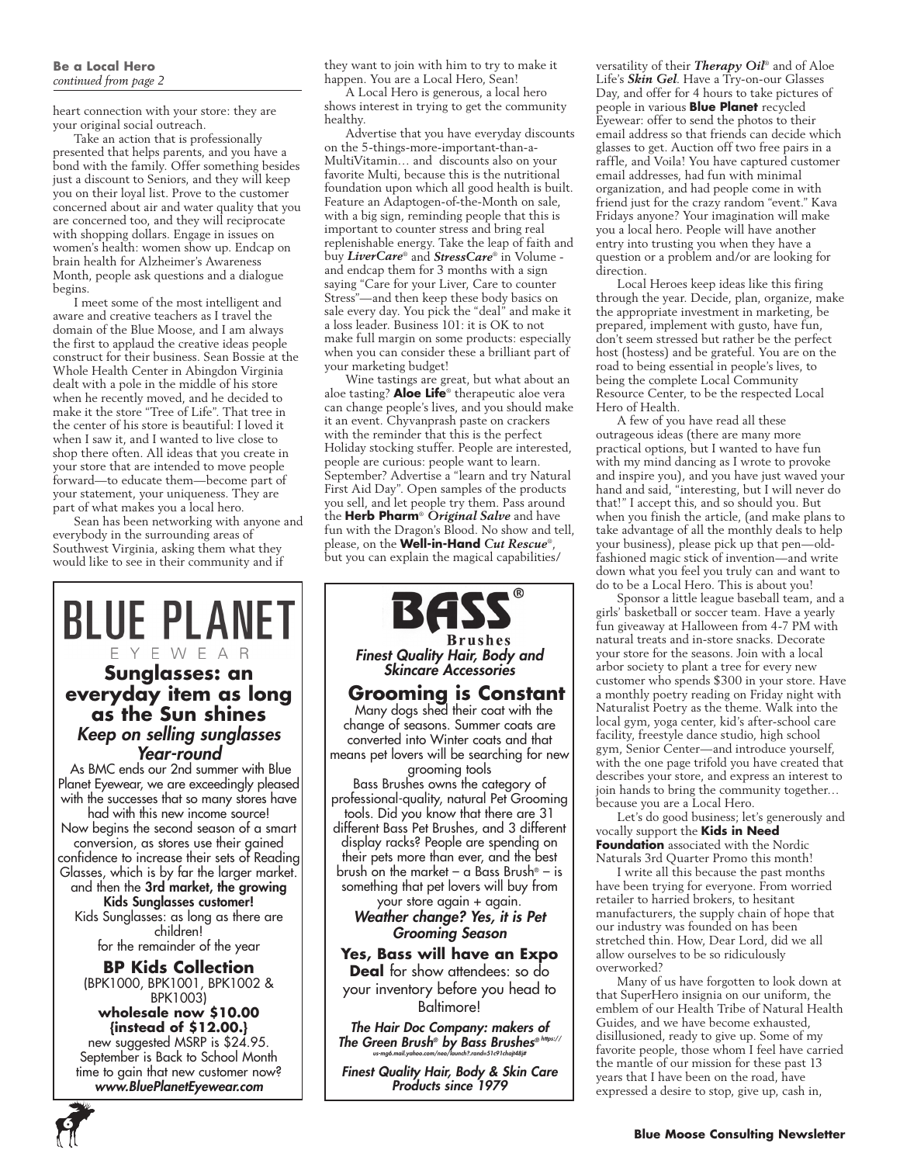#### **Be a Local Hero** *continued from page 2*

heart connection with your store: they are your original social outreach.

Take an action that is professionally presented that helps parents, and you have a bond with the family. Offer something besides just a discount to Seniors, and they will keep you on their loyal list. Prove to the customer concerned about air and water quality that you are concerned too, and they will reciprocate with shopping dollars. Engage in issues on women's health: women show up. Endcap on brain health for Alzheimer's Awareness Month, people ask questions and a dialogue begins.

I meet some of the most intelligent and aware and creative teachers as I travel the domain of the Blue Moose, and I am always the first to applaud the creative ideas people construct for their business. Sean Bossie at the Whole Health Center in Abingdon Virginia dealt with a pole in the middle of his store when he recently moved, and he decided to make it the store "Tree of Life". That tree in the center of his store is beautiful: I loved it when I saw it, and I wanted to live close to shop there often. All ideas that you create in your store that are intended to move people forward—to educate them—become part of your statement, your uniqueness. They are part of what makes you a local hero.

Sean has been networking with anyone and everybody in the surrounding areas of Southwest Virginia, asking them what they would like to see in their community and if

# **BLUE PLANET** YEWEAR **Sunglasses: an everyday item as long as the Sun shines** *Keep on selling sunglasses Year-round*

 As BMC ends our 2nd summer with Blue Planet Eyewear, we are exceedingly pleased with the successes that so many stores have had with this new income source! Now begins the second season of a smart conversion, as stores use their gained confidence to increase their sets of Reading Glasses, which is by far the larger market. and then the 3rd market, the growing Kids Sunglasses customer! Kids Sunglasses: as long as there are children!

for the remainder of the year

**BP Kids Collection**  (BPK1000, BPK1001, BPK1002 & BPK1003)

#### **wholesale now \$10.00 {instead of \$12.00.}**  new suggested MSRP is \$24.95. September is Back to School Month time to gain that new customer now? *www.BluePlanetEyewear.com*

they want to join with him to try to make it happen. You are a Local Hero, Sean!

A Local Hero is generous, a local hero shows interest in trying to get the community healthy.

Advertise that you have everyday discounts on the 5-things-more-important-than-a-MultiVitamin… and discounts also on your favorite Multi, because this is the nutritional foundation upon which all good health is built. Feature an Adaptogen-of-the-Month on sale, with a big sign, reminding people that this is important to counter stress and bring real replenishable energy. Take the leap of faith and buy *LiverCare*® and *StressCare*® in Volume and endcap them for 3 months with a sign saying "Care for your Liver, Care to counter Stress"—and then keep these body basics on sale every day. You pick the "deal" and make it a loss leader. Business 101: it is OK to not make full margin on some products: especially when you can consider these a brilliant part of your marketing budget!

Wine tastings are great, but what about an aloe tasting? **Aloe Life**® therapeutic aloe vera can change people's lives, and you should make it an event. Chyvanprash paste on crackers with the reminder that this is the perfect Holiday stocking stuffer. People are interested, people are curious: people want to learn. September? Advertise a "learn and try Natural First Aid Day". Open samples of the products you sell, and let people try them. Pass around the **Herb Pharm**® *Original Salve* and have fun with the Dragon's Blood. No show and tell, please, on the **Well-in-Hand** *Cut Rescue*®, but you can explain the magical capabilities/



*Finest Quality Hair, Body & Skin Care Products since 1979*

versatility of their *Therapy Oil*® and of Aloe Life's *Skin Gel*. Have a Try-on-our Glasses Day, and offer for 4 hours to take pictures of people in various **Blue Planet** recycled Eyewear: offer to send the photos to their email address so that friends can decide which glasses to get. Auction off two free pairs in a raffle, and Voila! You have captured customer email addresses, had fun with minimal organization, and had people come in with friend just for the crazy random "event." Kava Fridays anyone? Your imagination will make you a local hero. People will have another entry into trusting you when they have a question or a problem and/or are looking for direction.

Local Heroes keep ideas like this firing through the year. Decide, plan, organize, make the appropriate investment in marketing, be prepared, implement with gusto, have fun, don't seem stressed but rather be the perfect host (hostess) and be grateful. You are on the road to being essential in people's lives, to being the complete Local Community Resource Center, to be the respected Local Hero of Health.

A few of you have read all these outrageous ideas (there are many more practical options, but I wanted to have fun with my mind dancing as I wrote to provoke and inspire you), and you have just waved your hand and said, "interesting, but I will never do that!" I accept this, and so should you. But when you finish the article, (and make plans to take advantage of all the monthly deals to help your business), please pick up that pen—oldfashioned magic stick of invention—and write down what you feel you truly can and want to do to be a Local Hero. This is about you!

Sponsor a little league baseball team, and a girls' basketball or soccer team. Have a yearly fun giveaway at Halloween from 4-7 PM with natural treats and in-store snacks. Decorate your store for the seasons. Join with a local arbor society to plant a tree for every new customer who spends \$300 in your store. Have a monthly poetry reading on Friday night with Naturalist Poetry as the theme. Walk into the local gym, yoga center, kid's after-school care facility, freestyle dance studio, high school gym, Senior Center—and introduce yourself, with the one page trifold you have created that describes your store, and express an interest to join hands to bring the community together… because you are a Local Hero.

Let's do good business; let's generously and vocally support the **Kids in Need Foundation** associated with the Nordic Naturals 3rd Quarter Promo this month!

I write all this because the past months have been trying for everyone. From worried retailer to harried brokers, to hesitant manufacturers, the supply chain of hope that our industry was founded on has been stretched thin. How, Dear Lord, did we all allow ourselves to be so ridiculously overworked?

Many of us have forgotten to look down at that SuperHero insignia on our uniform, the emblem of our Health Tribe of Natural Health Guides, and we have become exhausted, disillusioned, ready to give up. Some of my favorite people, those whom I feel have carried the mantle of our mission for these past 13 years that I have been on the road, have expressed a desire to stop, give up, cash in,

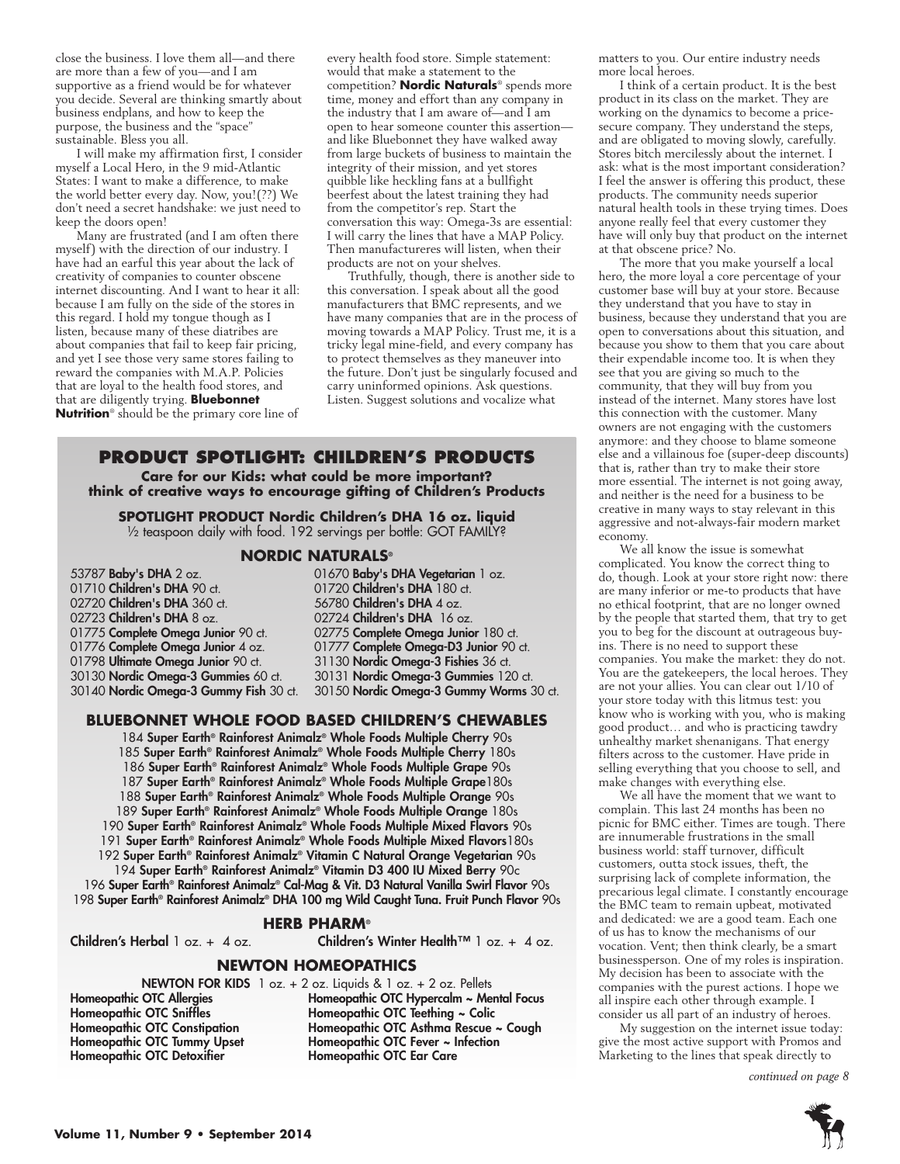close the business. I love them all—and there are more than a few of you—and I am supportive as a friend would be for whatever you decide. Several are thinking smartly about business endplans, and how to keep the purpose, the business and the "space" sustainable. Bless you all.

I will make my affirmation first, I consider myself a Local Hero, in the 9 mid-Atlantic States: I want to make a difference, to make the world better every day. Now, you!(??) We don't need a secret handshake: we just need to keep the doors open!

Many are frustrated (and I am often there myself) with the direction of our industry. I have had an earful this year about the lack of creativity of companies to counter obscene internet discounting. And I want to hear it all: because I am fully on the side of the stores in this regard. I hold my tongue though as I listen, because many of these diatribes are about companies that fail to keep fair pricing, and yet I see those very same stores failing to reward the companies with M.A.P. Policies that are loyal to the health food stores, and that are diligently trying. **Bluebonnet Nutrition**® should be the primary core line of every health food store. Simple statement: would that make a statement to the competition? **Nordic Naturals**® spends more time, money and effort than any company in the industry that I am aware of—and I am open to hear someone counter this assertion and like Bluebonnet they have walked away from large buckets of business to maintain the integrity of their mission, and yet stores quibble like heckling fans at a bullfight beerfest about the latest training they had from the competitor's rep. Start the conversation this way: Omega-3s are essential: I will carry the lines that have a MAP Policy. Then manufactureres will listen, when their products are not on your shelves.

Truthfully, though, there is another side to this conversation. I speak about all the good manufacturers that BMC represents, and we have many companies that are in the process of moving towards a MAP Policy. Trust me, it is a tricky legal mine-field, and every company has to protect themselves as they maneuver into the future. Don't just be singularly focused and carry uninformed opinions. Ask questions. Listen. Suggest solutions and vocalize what

## **Product Spotlight: Children's Products**

**Care for our Kids: what could be more important? think of creative ways to encourage gifting of Children's Products**

**SPOTLIGHT PRODUCT Nordic Children's DHA 16 oz. liquid** <sup>1/2</sup> teaspoon daily with food. 192 servings per bottle: GOT FAMILY?

### **Nordic Naturals®**

02720 Children's DHA 360 ct. 02723 Children's DHA 8 oz. 02724 Children's DHA 16 oz.<br>01775 Complete Omega Junior 90 ct. 02775 Complete Omega Junio 01798 Ultimate Omega Junior 90 ct. 31130 Nordic Omega-3 Fishies 36 ct.<br>30130 Nordic Omega-3 Gummies 60 ct. 30131 Nordic Omega-3 Gummies 12

53787 Baby's DHA 2 oz. 01670 Baby's DHA Vegetarian 1 oz.<br>01710 Children's DHA 90 ct. 01720 Children's DHA 180 ct. 01720 **Children's DHA** 180 ct.<br>56780 **Children's DHA** 4 oz. 01775 Complete Omega Junior 90 ct. 02775 Complete Omega Junior 180 ct.<br>01776 Complete Omega Junior 4 oz. 01777 Complete Omega-D3 Junior 90 o 01777 Complete Omega-D3 Junior 90 ct. 30130 Nordic Omega-3 Gummies 60 ct. 30131 Nordic Omega-3 Gummies 120 ct. 30150 Nordic Omega-3 Gummy Worms 30 ct.

## **Bluebonnet whole food based Children's chewables**

184 Super Earth® Rainforest Animalz® Whole Foods Multiple Cherry 90s 185 Super Earth® Rainforest Animalz® Whole Foods Multiple Cherry 180s 186 Super Earth® Rainforest Animalz® Whole Foods Multiple Grape 90s 187 Super Earth® Rainforest Animalz® Whole Foods Multiple Grape180s 188 Super Earth® Rainforest Animalz® Whole Foods Multiple Orange 90s 189 Super Earth® Rainforest Animalz® Whole Foods Multiple Orange 180s 190 Super Earth® Rainforest Animalz® Whole Foods Multiple Mixed Flavors 90s 191 Super Earth® Rainforest Animalz® Whole Foods Multiple Mixed Flavors180s 192 Super Earth® Rainforest Animalz® Vitamin C Natural Orange Vegetarian 90s 194 Super Earth® Rainforest Animalz® Vitamin D3 400 IU Mixed Berry 90c

196 Super Earth® Rainforest Animalz® Cal-Mag & Vit. D3 Natural Vanilla Swirl Flavor 90s 198 Super Earth® Rainforest Animalz® DHA 100 mg Wild Caught Tuna. Fruit Punch Flavor 90s

## **Herb Pharm®**

Children's Herbal 1 oz. + 4 oz. Children's Winter Health<sup>™</sup> 1 oz. + 4 oz.

### **Newton Homeopathics**

|                                    | <b>NEWTON FOR KIDS</b> $\overline{1}$ oz. $\overline{+}$ 2 oz. Liquids & $\overline{1}$ oz. $\overline{+}$ 2 oz. Pellets |
|------------------------------------|--------------------------------------------------------------------------------------------------------------------------|
| Homeopathic OTC Allergies          | Homeopathic OTC Hypercalm ~ Mental Focus                                                                                 |
| <b>Homeopathic OTC Sniffles</b>    | Homeopathic OTC Teething $\sim$ Colic                                                                                    |
| Homeopathic OTC Constipation       | Homeopathic OTC Asthma Rescue ~ Cough                                                                                    |
| <b>Homeopathic OTC Tummy Upset</b> | Homeopathic OTC Fever ~ Infection                                                                                        |
| Homeopathic OTC Detoxifier         | <b>Homeopathic OTC Ear Care</b>                                                                                          |

matters to you. Our entire industry needs more local heroes.

I think of a certain product. It is the best product in its class on the market. They are working on the dynamics to become a pricesecure company. They understand the steps, and are obligated to moving slowly, carefully. Stores bitch mercilessly about the internet. I ask: what is the most important consideration? I feel the answer is offering this product, these products. The community needs superior natural health tools in these trying times. Does anyone really feel that every customer they have will only buy that product on the internet at that obscene price? No.

The more that you make yourself a local hero, the more loyal a core percentage of your customer base will buy at your store. Because they understand that you have to stay in business, because they understand that you are open to conversations about this situation, and because you show to them that you care about their expendable income too. It is when they see that you are giving so much to the community, that they will buy from you instead of the internet. Many stores have lost this connection with the customer. Many owners are not engaging with the customers anymore: and they choose to blame someone else and a villainous foe (super-deep discounts) that is, rather than try to make their store more essential. The internet is not going away, and neither is the need for a business to be creative in many ways to stay relevant in this aggressive and not-always-fair modern market economy.

We all know the issue is somewhat complicated. You know the correct thing to do, though. Look at your store right now: there are many inferior or me-to products that have no ethical footprint, that are no longer owned by the people that started them, that try to get you to beg for the discount at outrageous buyins. There is no need to support these companies. You make the market: they do not. You are the gatekeepers, the local heroes. They are not your allies. You can clear out 1/10 of your store today with this litmus test: you know who is working with you, who is making good product… and who is practicing tawdry unhealthy market shenanigans. That energy filters across to the customer. Have pride in selling everything that you choose to sell, and make changes with everything else.

We all have the moment that we want to complain. This last 24 months has been no picnic for BMC either. Times are tough. There are innumerable frustrations in the small business world: staff turnover, difficult customers, outta stock issues, theft, the surprising lack of complete information, the precarious legal climate. I constantly encourage the BMC team to remain upbeat, motivated and dedicated: we are a good team. Each one of us has to know the mechanisms of our vocation. Vent; then think clearly, be a smart businessperson. One of my roles is inspiration. My decision has been to associate with the companies with the purest actions. I hope we all inspire each other through example. I consider us all part of an industry of heroes.

My suggestion on the internet issue today: give the most active support with Promos and Marketing to the lines that speak directly to

*continued on page 8*